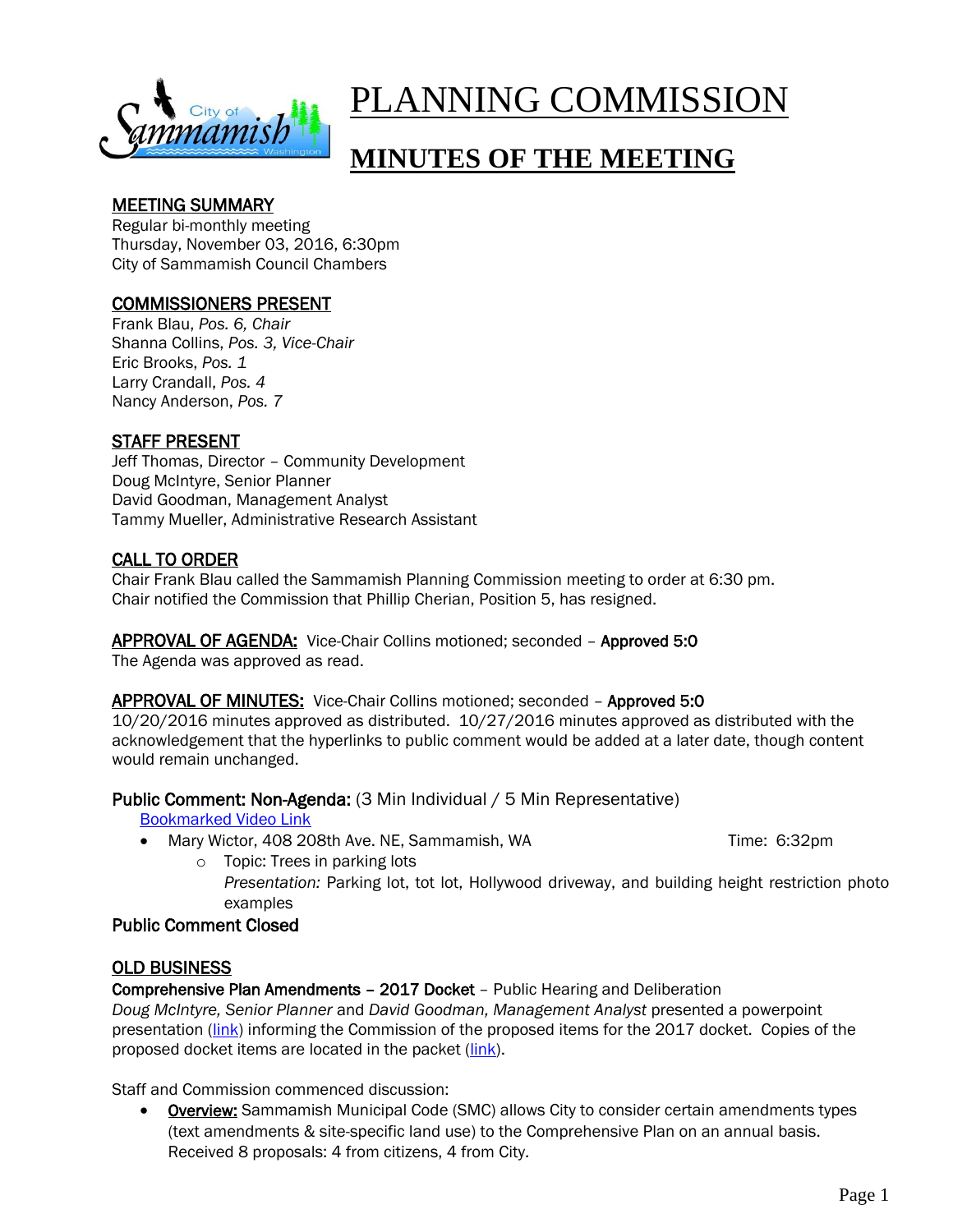

# PLANNING COMMISSION

# **MINUTES OF THE MEETING**

# MEETING SUMMARY

Regular bi-monthly meeting Thursday, November 03, 2016, 6:30pm City of Sammamish Council Chambers

# COMMISSIONERS PRESENT

Frank Blau, *Pos. 6, Chair* Shanna Collins, *Pos. 3, Vice-Chair* Eric Brooks, *Pos. 1* Larry Crandall, *Pos. 4* Nancy Anderson, *Pos. 7*

# STAFF PRESENT

Jeff Thomas, Director – Community Development Doug McIntyre, Senior Planner David Goodman, Management Analyst Tammy Mueller, Administrative Research Assistant

# CALL TO ORDER

Chair Frank Blau called the Sammamish Planning Commission meeting to order at 6:30 pm. Chair notified the Commission that Phillip Cherian, Position 5, has resigned.

APPROVAL OF AGENDA: Vice-Chair Collins motioned; seconded – Approved 5:0 The Agenda was approved as read.

#### APPROVAL OF MINUTES: Vice-Chair Collins motioned; seconded – Approved 5:0

10/20/2016 minutes approved as distributed. 10/27/2016 minutes approved as distributed with the acknowledgement that the hyperlinks to public comment would be added at a later date, though content would remain unchanged.

Public Comment: Non-Agenda: (3 Min Individual / 5 Min Representative)

[Bookmarked Video Link](https://youtu.be/M8OIj1RRqf0?t=2m5s) 

Mary Wictor, 408 208th Ave. NE, Sammamish, WA Time: 6:32pm

o Topic: Trees in parking lots *Presentation:* Parking lot, tot lot, Hollywood driveway, and building height restriction photo examples

#### Public Comment Closed

#### OLD BUSINESS

Comprehensive Plan Amendments – 2017 Docket – Public Hearing and Deliberation

*Doug McIntyre, Senior Planner* and *David Goodman, Management Analyst* presented a powerpoint presentation [\(link\)](https://www.sammamish.us/attachments/events/38405/110316%20Docket%20Powerpoint_revised.pdf) informing the Commission of the proposed items for the 2017 docket. Copies of the proposed docket items are located in the packet [\(link\)](https://www.sammamish.us/attachments/events/29200/PC%20Packet_November%203,%202016.pdf).

Staff and Commission commenced discussion:

• Overview: Sammamish Municipal Code (SMC) allows City to consider certain amendments types (text amendments & site-specific land use) to the Comprehensive Plan on an annual basis. Received 8 proposals: 4 from citizens, 4 from City.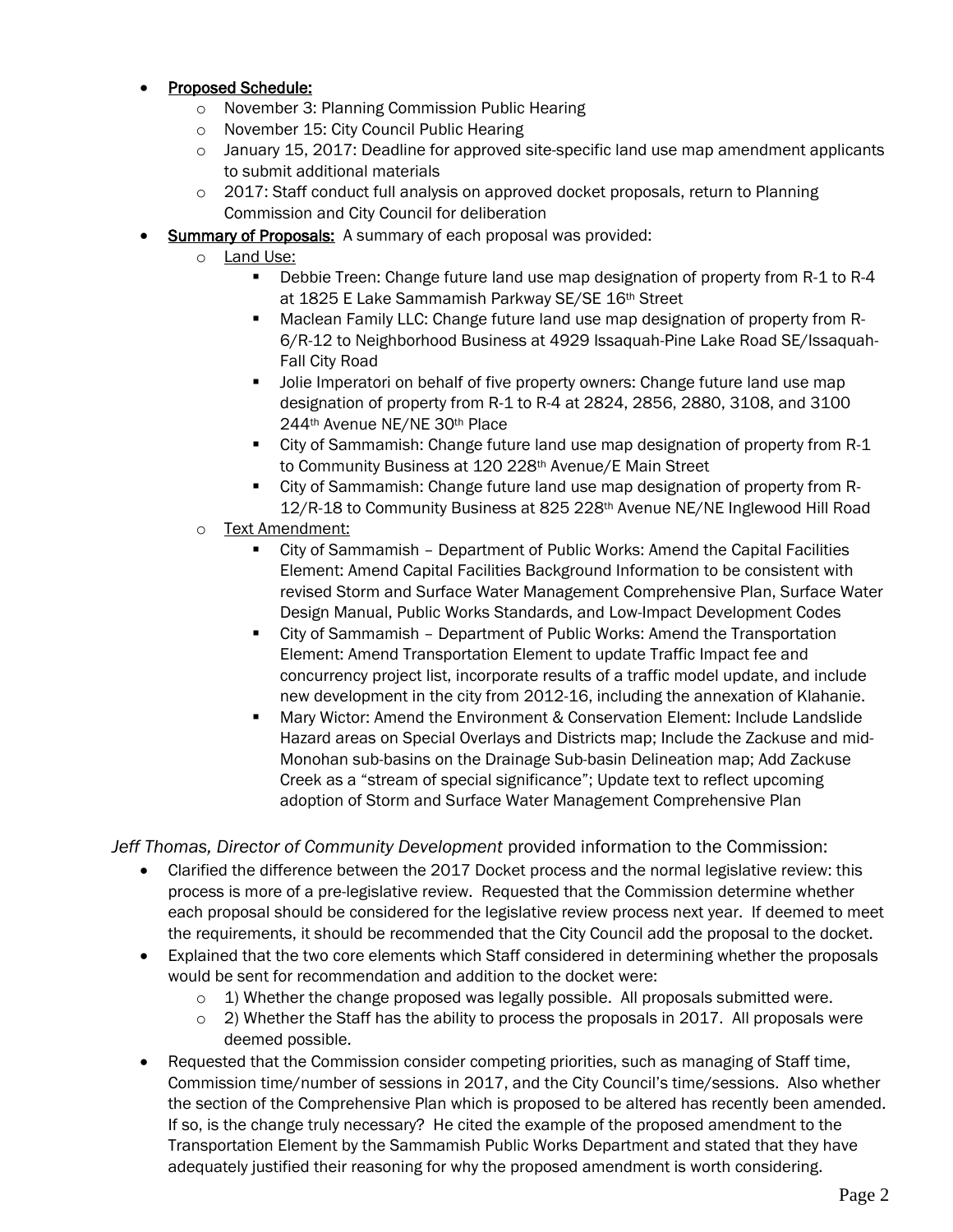#### Proposed Schedule:

- o November 3: Planning Commission Public Hearing
- o November 15: City Council Public Hearing
- $\circ$  January 15, 2017: Deadline for approved site-specific land use map amendment applicants to submit additional materials
- $\circ$  2017: Staff conduct full analysis on approved docket proposals, return to Planning Commission and City Council for deliberation
- Summary of Proposals: A summary of each proposal was provided:
	- o **Land Use:** 
		- Debbie Treen: Change future land use map designation of property from R-1 to R-4 at 1825 E Lake Sammamish Parkway SE/SE 16th Street
		- Maclean Family LLC: Change future land use map designation of property from R-6/R-12 to Neighborhood Business at 4929 Issaquah-Pine Lake Road SE/Issaquah-Fall City Road
		- Jolie Imperatori on behalf of five property owners: Change future land use map designation of property from R-1 to R-4 at 2824, 2856, 2880, 3108, and 3100 244th Avenue NE/NE 30th Place
		- City of Sammamish: Change future land use map designation of property from R-1 to Community Business at 120 228th Avenue/E Main Street
		- City of Sammamish: Change future land use map designation of property from R-12/R-18 to Community Business at 825 228<sup>th</sup> Avenue NE/NE Inglewood Hill Road
	- o Text Amendment:
		- City of Sammamish Department of Public Works: Amend the Capital Facilities Element: Amend Capital Facilities Background Information to be consistent with revised Storm and Surface Water Management Comprehensive Plan, Surface Water Design Manual, Public Works Standards, and Low-Impact Development Codes
		- City of Sammamish Department of Public Works: Amend the Transportation Element: Amend Transportation Element to update Traffic Impact fee and concurrency project list, incorporate results of a traffic model update, and include new development in the city from 2012-16, including the annexation of Klahanie.
		- Mary Wictor: Amend the Environment & Conservation Element: Include Landslide Hazard areas on Special Overlays and Districts map; Include the Zackuse and mid-Monohan sub-basins on the Drainage Sub-basin Delineation map; Add Zackuse Creek as a "stream of special significance"; Update text to reflect upcoming adoption of Storm and Surface Water Management Comprehensive Plan

*Jeff Thomas, Director of Community Development* provided information to the Commission:

- Clarified the difference between the 2017 Docket process and the normal legislative review: this process is more of a pre-legislative review. Requested that the Commission determine whether each proposal should be considered for the legislative review process next year. If deemed to meet the requirements, it should be recommended that the City Council add the proposal to the docket.
- Explained that the two core elements which Staff considered in determining whether the proposals would be sent for recommendation and addition to the docket were:
	- $\circ$  1) Whether the change proposed was legally possible. All proposals submitted were.
	- $\circ$  2) Whether the Staff has the ability to process the proposals in 2017. All proposals were deemed possible.
- Requested that the Commission consider competing priorities, such as managing of Staff time, Commission time/number of sessions in 2017, and the City Council's time/sessions. Also whether the section of the Comprehensive Plan which is proposed to be altered has recently been amended. If so, is the change truly necessary? He cited the example of the proposed amendment to the Transportation Element by the Sammamish Public Works Department and stated that they have adequately justified their reasoning for why the proposed amendment is worth considering.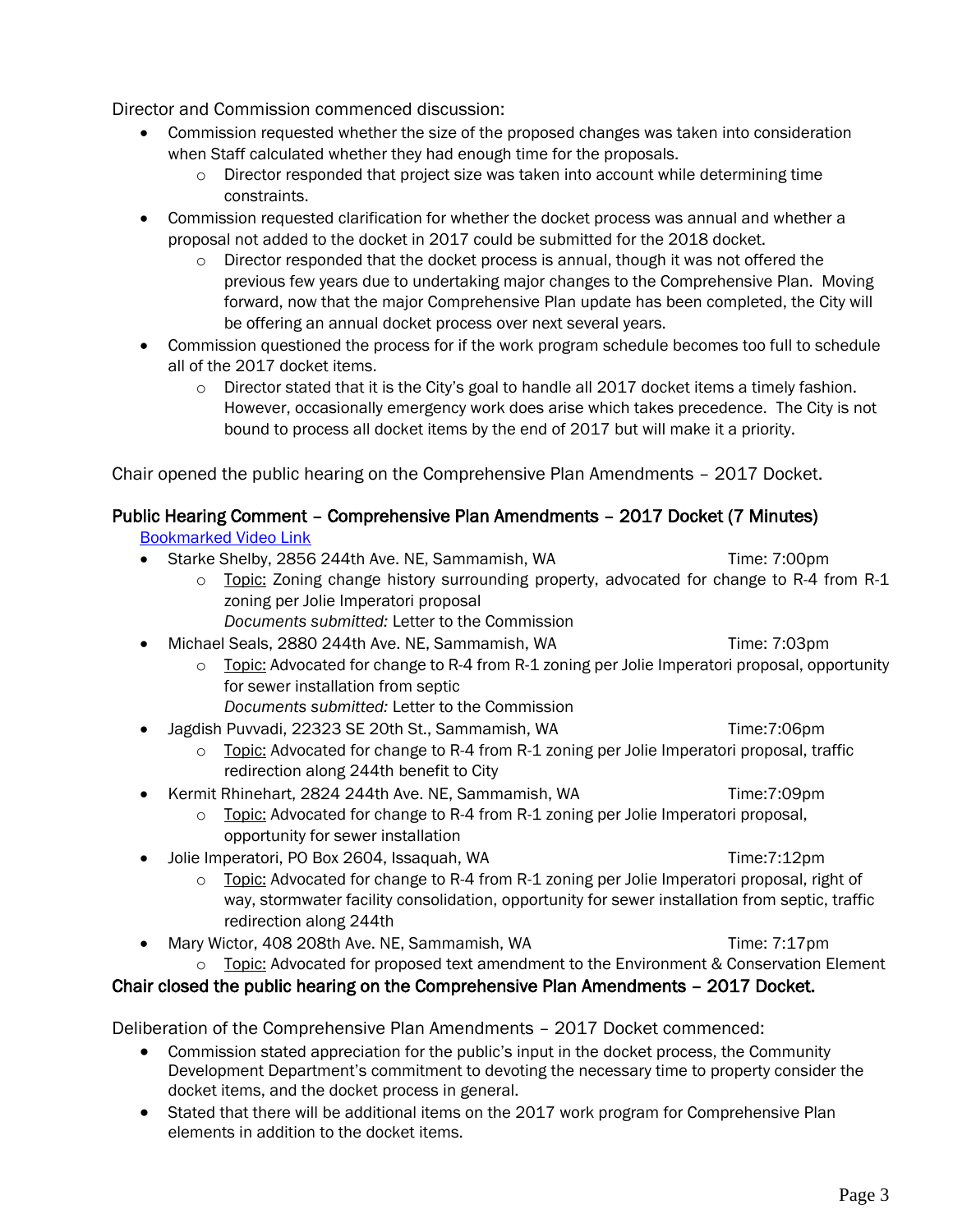Director and Commission commenced discussion:

- Commission requested whether the size of the proposed changes was taken into consideration when Staff calculated whether they had enough time for the proposals.
	- $\circ$  Director responded that project size was taken into account while determining time constraints.
- Commission requested clarification for whether the docket process was annual and whether a proposal not added to the docket in 2017 could be submitted for the 2018 docket.
	- $\circ$  Director responded that the docket process is annual, though it was not offered the previous few years due to undertaking major changes to the Comprehensive Plan. Moving forward, now that the major Comprehensive Plan update has been completed, the City will be offering an annual docket process over next several years.
- Commission questioned the process for if the work program schedule becomes too full to schedule all of the 2017 docket items.
	- $\circ$  Director stated that it is the City's goal to handle all 2017 docket items a timely fashion. However, occasionally emergency work does arise which takes precedence. The City is not bound to process all docket items by the end of 2017 but will make it a priority.

Chair opened the public hearing on the Comprehensive Plan Amendments – 2017 Docket.

# Public Hearing Comment – Comprehensive Plan Amendments – 2017 Docket (7 Minutes)

[Bookmarked Video Link](https://youtu.be/M8OIj1RRqf0?t=28m3s) 

- Starke Shelby, 2856 244th Ave. NE, Sammamish, WA Time: 7:00pm
	- o Topic: Zoning change history surrounding property, advocated for change to R-4 from R-1 zoning per Jolie Imperatori proposal
		- *Documents submitted:* Letter to the Commission

#### Michael Seals, 2880 244th Ave. NE. Sammamish, WA Time: 7:03pm

- o Topic: Advocated for change to R-4 from R-1 zoning per Jolie Imperatori proposal, opportunity for sewer installation from septic *Documents submitted:* Letter to the Commission
- Jagdish Puvvadi, 22323 SE 20th St., Sammamish, WA Time:7:06pm
	- o Topic: Advocated for change to R-4 from R-1 zoning per Jolie Imperatori proposal, traffic redirection along 244th benefit to City
- Kermit Rhinehart, 2824 244th Ave. NE, Sammamish, WA Time:7:09pm
	- $\circ$  Topic: Advocated for change to R-4 from R-1 zoning per Jolie Imperatori proposal, opportunity for sewer installation
- Jolie Imperatori, PO Box 2604, Issaquah, WA Time:7:12pm
	- $\circ$  Topic: Advocated for change to R-4 from R-1 zoning per Jolie Imperatori proposal, right of way, stormwater facility consolidation, opportunity for sewer installation from septic, traffic redirection along 244th
- Mary Wictor, 408 208th Ave. NE, Sammamish, WA Time: 7:17pm
	- $\circ$  Topic: Advocated for proposed text amendment to the Environment & Conservation Element

# Chair closed the public hearing on the Comprehensive Plan Amendments – 2017 Docket.

Deliberation of the Comprehensive Plan Amendments – 2017 Docket commenced:

- Commission stated appreciation for the public's input in the docket process, the Community Development Department's commitment to devoting the necessary time to property consider the docket items, and the docket process in general.
- Stated that there will be additional items on the 2017 work program for Comprehensive Plan elements in addition to the docket items.